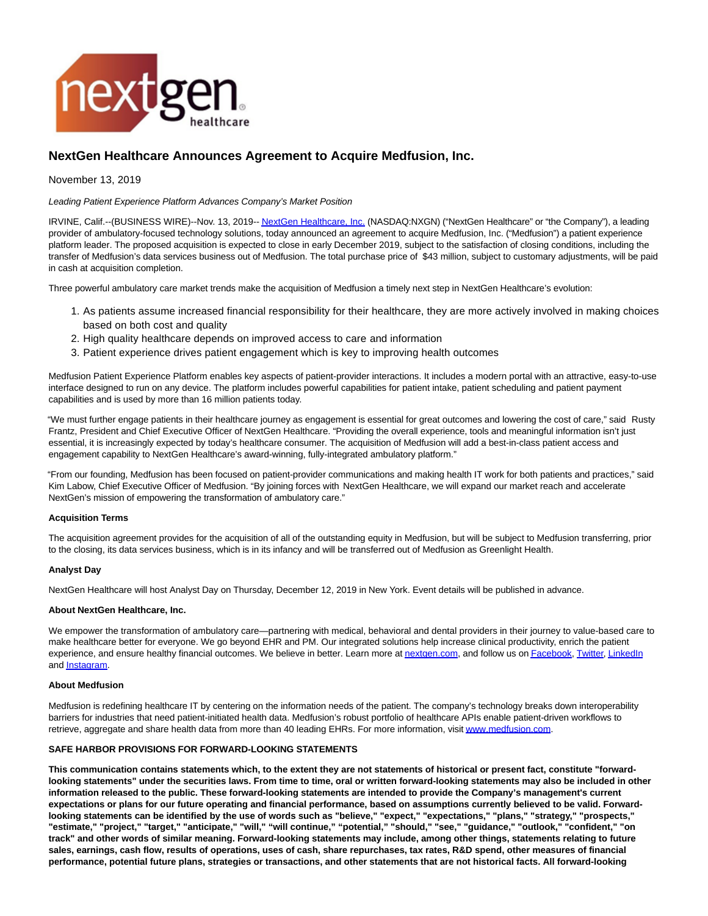

# **NextGen Healthcare Announces Agreement to Acquire Medfusion, Inc.**

November 13, 2019

Leading Patient Experience Platform Advances Company's Market Position

IRVINE, Calif.--(BUSINESS WIRE)--Nov. 13, 2019-[- NextGen Healthcare, Inc. \(](https://cts.businesswire.com/ct/CT?id=smartlink&url=https%3A%2F%2Fwww.nextgen.com%2F&esheet=52128045&newsitemid=20191113005415&lan=en-US&anchor=NextGen+Healthcare%2C+Inc.&index=1&md5=073441dbb34a00fe136f1bf62be433c6)NASDAQ:NXGN) ("NextGen Healthcare" or "the Company"), a leading provider of ambulatory-focused technology solutions, today announced an agreement to acquire Medfusion, Inc. ("Medfusion") a patient experience platform leader. The proposed acquisition is expected to close in early December 2019, subject to the satisfaction of closing conditions, including the transfer of Medfusion's data services business out of Medfusion. The total purchase price of \$43 million, subject to customary adjustments, will be paid in cash at acquisition completion.

Three powerful ambulatory care market trends make the acquisition of Medfusion a timely next step in NextGen Healthcare's evolution:

- 1. As patients assume increased financial responsibility for their healthcare, they are more actively involved in making choices based on both cost and quality
- 2. High quality healthcare depends on improved access to care and information
- 3. Patient experience drives patient engagement which is key to improving health outcomes

Medfusion Patient Experience Platform enables key aspects of patient-provider interactions. It includes a modern portal with an attractive, easy-to-use interface designed to run on any device. The platform includes powerful capabilities for patient intake, patient scheduling and patient payment capabilities and is used by more than 16 million patients today.

"We must further engage patients in their healthcare journey as engagement is essential for great outcomes and lowering the cost of care," said Rusty Frantz, President and Chief Executive Officer of NextGen Healthcare. "Providing the overall experience, tools and meaningful information isn't just essential, it is increasingly expected by today's healthcare consumer. The acquisition of Medfusion will add a best-in-class patient access and engagement capability to NextGen Healthcare's award-winning, fully-integrated ambulatory platform."

"From our founding, Medfusion has been focused on patient-provider communications and making health IT work for both patients and practices," said Kim Labow, Chief Executive Officer of Medfusion. "By joining forces with NextGen Healthcare, we will expand our market reach and accelerate NextGen's mission of empowering the transformation of ambulatory care."

#### **Acquisition Terms**

The acquisition agreement provides for the acquisition of all of the outstanding equity in Medfusion, but will be subject to Medfusion transferring, prior to the closing, its data services business, which is in its infancy and will be transferred out of Medfusion as Greenlight Health.

#### **Analyst Day**

NextGen Healthcare will host Analyst Day on Thursday, December 12, 2019 in New York. Event details will be published in advance.

#### **About NextGen Healthcare, Inc.**

We empower the transformation of ambulatory care—partnering with medical, behavioral and dental providers in their journey to value-based care to make healthcare better for everyone. We go beyond EHR and PM. Our integrated solutions help increase clinical productivity, enrich the patient experience, and ensure healthy financial outcomes. We believe in better. Learn more a[t nextgen.com,](https://cts.businesswire.com/ct/CT?id=smartlink&url=http%3A%2F%2Fwww.nextgen.com&esheet=52128045&newsitemid=20191113005415&lan=en-US&anchor=nextgen.com&index=2&md5=fd62f9618ca5045375c2a376fca187a9) and follow us o[n Facebook,](https://cts.businesswire.com/ct/CT?id=smartlink&url=https%3A%2F%2Fwww.facebook.com%2FNextGenHealthcare&esheet=52128045&newsitemid=20191113005415&lan=en-US&anchor=Facebook&index=3&md5=5ec4f76a717b9e7ab8a69badaf326c62) [Twitter,](https://cts.businesswire.com/ct/CT?id=smartlink&url=https%3A%2F%2Ftwitter.com%2FNextGen&esheet=52128045&newsitemid=20191113005415&lan=en-US&anchor=Twitter&index=4&md5=846765b66e77fb29d9db3785c9c0d027) [LinkedIn](https://cts.businesswire.com/ct/CT?id=smartlink&url=https%3A%2F%2Fwww.linkedin.com%2Fcompany%2Fnextgen-healthcare-information-systems%2F&esheet=52128045&newsitemid=20191113005415&lan=en-US&anchor=LinkedIn&index=5&md5=7592669b5dbf9f0154bd713b6808bcb7) an[d Instagram.](https://cts.businesswire.com/ct/CT?id=smartlink&url=https%3A%2F%2Fwww.instagram.com%2Fnextgenhealthcare%2F&esheet=52128045&newsitemid=20191113005415&lan=en-US&anchor=Instagram&index=6&md5=c3b91d31ec8ef6375085b813397a1d49)

## **About Medfusion**

Medfusion is redefining healthcare IT by centering on the information needs of the patient. The company's technology breaks down interoperability barriers for industries that need patient-initiated health data. Medfusion's robust portfolio of healthcare APIs enable patient-driven workflows to retrieve, aggregate and share health data from more than 40 leading EHRs. For more information, visi[t www.medfusion.com.](https://cts.businesswire.com/ct/CT?id=smartlink&url=http%3A%2F%2Fwww.medfusion.com&esheet=52128045&newsitemid=20191113005415&lan=en-US&anchor=www.medfusion.com&index=7&md5=90d8716f4befa31116a13af137a367b5)

### **SAFE HARBOR PROVISIONS FOR FORWARD-LOOKING STATEMENTS**

**This communication contains statements which, to the extent they are not statements of historical or present fact, constitute "forwardlooking statements" under the securities laws. From time to time, oral or written forward-looking statements may also be included in other information released to the public. These forward-looking statements are intended to provide the Company's management's current expectations or plans for our future operating and financial performance, based on assumptions currently believed to be valid. Forwardlooking statements can be identified by the use of words such as "believe," "expect," "expectations," "plans," "strategy," "prospects," "estimate," "project," "target," "anticipate," "will," "will continue," "potential," "should," "see," "guidance," "outlook," "confident," "on track" and other words of similar meaning. Forward-looking statements may include, among other things, statements relating to future sales, earnings, cash flow, results of operations, uses of cash, share repurchases, tax rates, R&D spend, other measures of financial performance, potential future plans, strategies or transactions, and other statements that are not historical facts. All forward-looking**